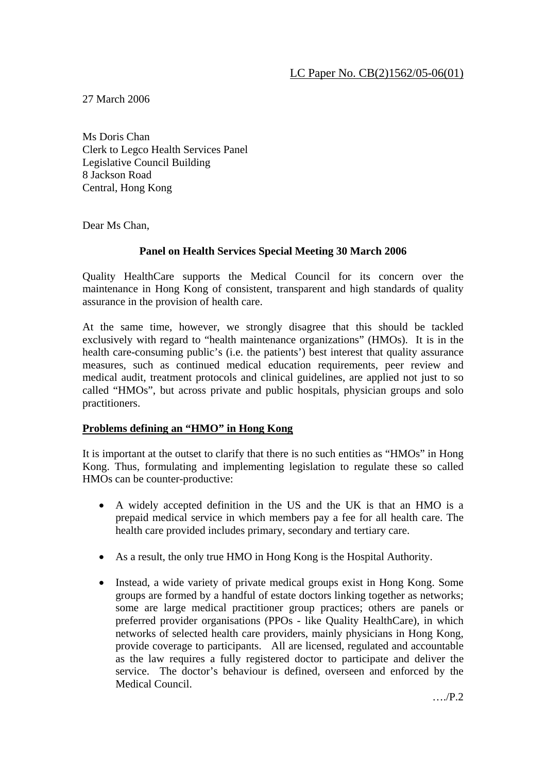27 March 2006

Ms Doris Chan Clerk to Legco Health Services Panel Legislative Council Building 8 Jackson Road Central, Hong Kong

Dear Ms Chan,

# **Panel on Health Services Special Meeting 30 March 2006**

Quality HealthCare supports the Medical Council for its concern over the maintenance in Hong Kong of consistent, transparent and high standards of quality assurance in the provision of health care.

At the same time, however, we strongly disagree that this should be tackled exclusively with regard to "health maintenance organizations" (HMOs). It is in the health care-consuming public's (i.e. the patients') best interest that quality assurance measures, such as continued medical education requirements, peer review and medical audit, treatment protocols and clinical guidelines, are applied not just to so called "HMOs", but across private and public hospitals, physician groups and solo practitioners.

### **Problems defining an "HMO" in Hong Kong**

It is important at the outset to clarify that there is no such entities as "HMOs" in Hong Kong. Thus, formulating and implementing legislation to regulate these so called HMOs can be counter-productive:

- A widely accepted definition in the US and the UK is that an HMO is a prepaid medical service in which members pay a fee for all health care. The health care provided includes primary, secondary and tertiary care.
- As a result, the only true HMO in Hong Kong is the Hospital Authority.
- Instead, a wide variety of private medical groups exist in Hong Kong. Some groups are formed by a handful of estate doctors linking together as networks; some are large medical practitioner group practices; others are panels or preferred provider organisations (PPOs - like Quality HealthCare), in which networks of selected health care providers, mainly physicians in Hong Kong, provide coverage to participants. All are licensed, regulated and accountable as the law requires a fully registered doctor to participate and deliver the service. The doctor's behaviour is defined, overseen and enforced by the Medical Council.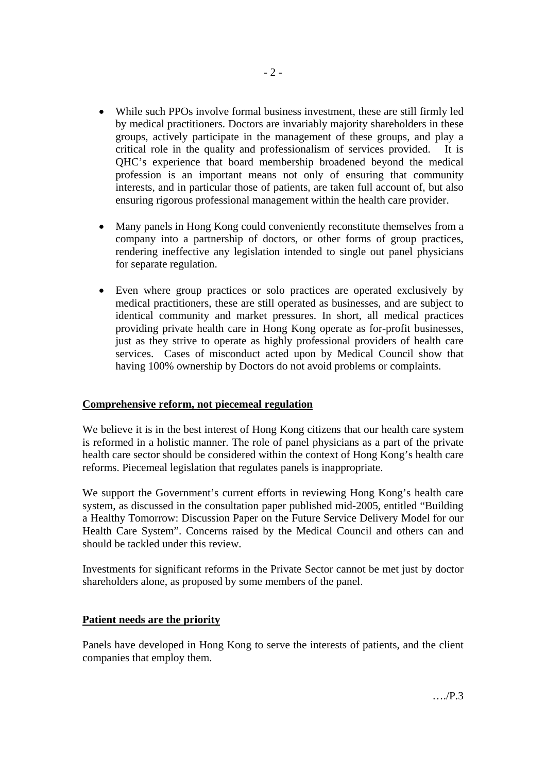- While such PPOs involve formal business investment, these are still firmly led by medical practitioners. Doctors are invariably majority shareholders in these groups, actively participate in the management of these groups, and play a critical role in the quality and professionalism of services provided. It is QHC's experience that board membership broadened beyond the medical profession is an important means not only of ensuring that community interests, and in particular those of patients, are taken full account of, but also ensuring rigorous professional management within the health care provider.
- Many panels in Hong Kong could conveniently reconstitute themselves from a company into a partnership of doctors, or other forms of group practices, rendering ineffective any legislation intended to single out panel physicians for separate regulation.
- Even where group practices or solo practices are operated exclusively by medical practitioners, these are still operated as businesses, and are subject to identical community and market pressures. In short, all medical practices providing private health care in Hong Kong operate as for-profit businesses, just as they strive to operate as highly professional providers of health care services. Cases of misconduct acted upon by Medical Council show that having 100% ownership by Doctors do not avoid problems or complaints.

### **Comprehensive reform, not piecemeal regulation**

We believe it is in the best interest of Hong Kong citizens that our health care system is reformed in a holistic manner. The role of panel physicians as a part of the private health care sector should be considered within the context of Hong Kong's health care reforms. Piecemeal legislation that regulates panels is inappropriate.

We support the Government's current efforts in reviewing Hong Kong's health care system, as discussed in the consultation paper published mid-2005, entitled "Building a Healthy Tomorrow: Discussion Paper on the Future Service Delivery Model for our Health Care System". Concerns raised by the Medical Council and others can and should be tackled under this review.

Investments for significant reforms in the Private Sector cannot be met just by doctor shareholders alone, as proposed by some members of the panel.

### **Patient needs are the priority**

Panels have developed in Hong Kong to serve the interests of patients, and the client companies that employ them.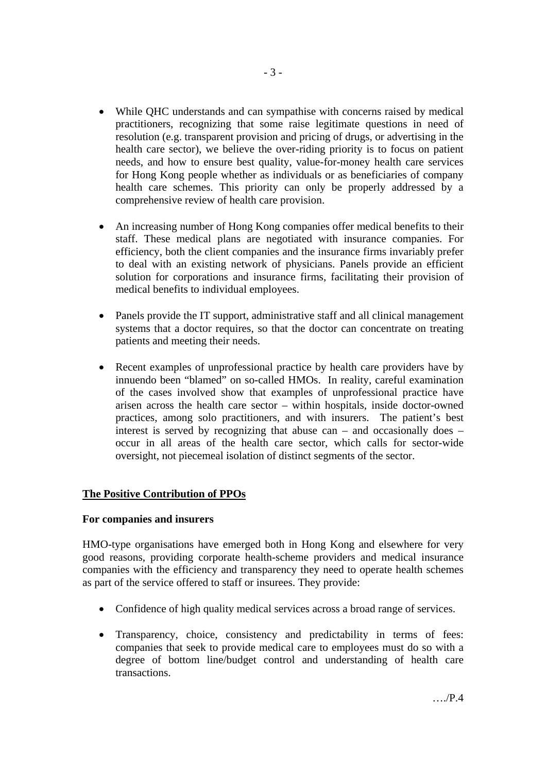- While QHC understands and can sympathise with concerns raised by medical practitioners, recognizing that some raise legitimate questions in need of resolution (e.g. transparent provision and pricing of drugs, or advertising in the health care sector), we believe the over-riding priority is to focus on patient needs, and how to ensure best quality, value-for-money health care services for Hong Kong people whether as individuals or as beneficiaries of company health care schemes. This priority can only be properly addressed by a comprehensive review of health care provision.
- An increasing number of Hong Kong companies offer medical benefits to their staff. These medical plans are negotiated with insurance companies. For efficiency, both the client companies and the insurance firms invariably prefer to deal with an existing network of physicians. Panels provide an efficient solution for corporations and insurance firms, facilitating their provision of medical benefits to individual employees.
- Panels provide the IT support, administrative staff and all clinical management systems that a doctor requires, so that the doctor can concentrate on treating patients and meeting their needs.
- Recent examples of unprofessional practice by health care providers have by innuendo been "blamed" on so-called HMOs. In reality, careful examination of the cases involved show that examples of unprofessional practice have arisen across the health care sector – within hospitals, inside doctor-owned practices, among solo practitioners, and with insurers. The patient's best interest is served by recognizing that abuse can – and occasionally does – occur in all areas of the health care sector, which calls for sector-wide oversight, not piecemeal isolation of distinct segments of the sector.

# **The Positive Contribution of PPOs**

### **For companies and insurers**

HMO-type organisations have emerged both in Hong Kong and elsewhere for very good reasons, providing corporate health-scheme providers and medical insurance companies with the efficiency and transparency they need to operate health schemes as part of the service offered to staff or insurees. They provide:

- Confidence of high quality medical services across a broad range of services.
- Transparency, choice, consistency and predictability in terms of fees: companies that seek to provide medical care to employees must do so with a degree of bottom line/budget control and understanding of health care transactions.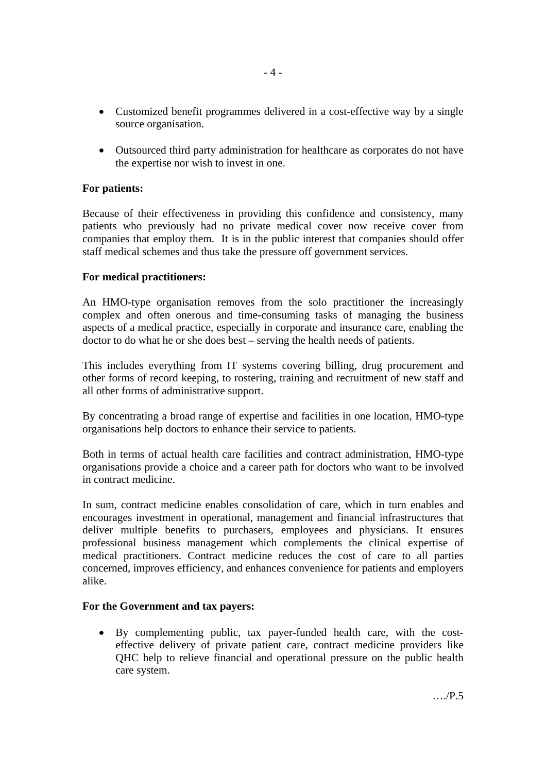- Customized benefit programmes delivered in a cost-effective way by a single source organisation.
- Outsourced third party administration for healthcare as corporates do not have the expertise nor wish to invest in one.

## **For patients:**

Because of their effectiveness in providing this confidence and consistency, many patients who previously had no private medical cover now receive cover from companies that employ them. It is in the public interest that companies should offer staff medical schemes and thus take the pressure off government services.

### **For medical practitioners:**

An HMO-type organisation removes from the solo practitioner the increasingly complex and often onerous and time-consuming tasks of managing the business aspects of a medical practice, especially in corporate and insurance care, enabling the doctor to do what he or she does best – serving the health needs of patients.

This includes everything from IT systems covering billing, drug procurement and other forms of record keeping, to rostering, training and recruitment of new staff and all other forms of administrative support.

By concentrating a broad range of expertise and facilities in one location, HMO-type organisations help doctors to enhance their service to patients.

Both in terms of actual health care facilities and contract administration, HMO-type organisations provide a choice and a career path for doctors who want to be involved in contract medicine.

In sum, contract medicine enables consolidation of care, which in turn enables and encourages investment in operational, management and financial infrastructures that deliver multiple benefits to purchasers, employees and physicians. It ensures professional business management which complements the clinical expertise of medical practitioners. Contract medicine reduces the cost of care to all parties concerned, improves efficiency, and enhances convenience for patients and employers alike.

### **For the Government and tax payers:**

• By complementing public, tax payer-funded health care, with the costeffective delivery of private patient care, contract medicine providers like QHC help to relieve financial and operational pressure on the public health care system.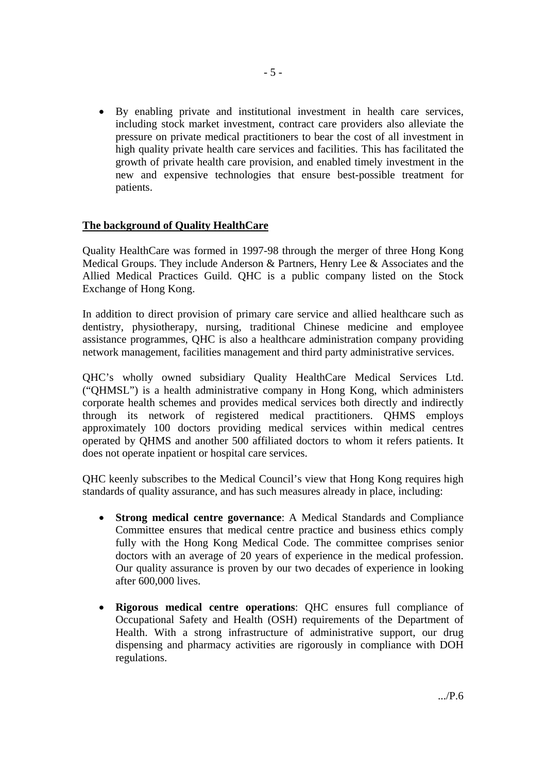• By enabling private and institutional investment in health care services, including stock market investment, contract care providers also alleviate the pressure on private medical practitioners to bear the cost of all investment in high quality private health care services and facilities. This has facilitated the growth of private health care provision, and enabled timely investment in the new and expensive technologies that ensure best-possible treatment for patients.

## **The background of Quality HealthCare**

Quality HealthCare was formed in 1997-98 through the merger of three Hong Kong Medical Groups. They include Anderson & Partners, Henry Lee & Associates and the Allied Medical Practices Guild. QHC is a public company listed on the Stock Exchange of Hong Kong.

In addition to direct provision of primary care service and allied healthcare such as dentistry, physiotherapy, nursing, traditional Chinese medicine and employee assistance programmes, QHC is also a healthcare administration company providing network management, facilities management and third party administrative services.

QHC's wholly owned subsidiary Quality HealthCare Medical Services Ltd. ("QHMSL") is a health administrative company in Hong Kong, which administers corporate health schemes and provides medical services both directly and indirectly through its network of registered medical practitioners. QHMS employs approximately 100 doctors providing medical services within medical centres operated by QHMS and another 500 affiliated doctors to whom it refers patients. It does not operate inpatient or hospital care services.

QHC keenly subscribes to the Medical Council's view that Hong Kong requires high standards of quality assurance, and has such measures already in place, including:

- **Strong medical centre governance**: A Medical Standards and Compliance Committee ensures that medical centre practice and business ethics comply fully with the Hong Kong Medical Code. The committee comprises senior doctors with an average of 20 years of experience in the medical profession. Our quality assurance is proven by our two decades of experience in looking after 600,000 lives.
- **Rigorous medical centre operations**: QHC ensures full compliance of Occupational Safety and Health (OSH) requirements of the Department of Health. With a strong infrastructure of administrative support, our drug dispensing and pharmacy activities are rigorously in compliance with DOH regulations.